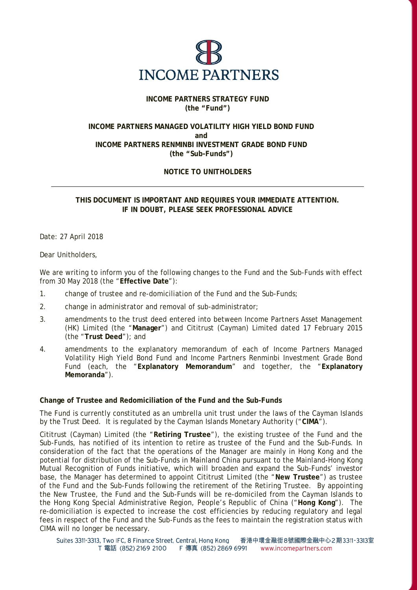

## **INCOME PARTNERS STRATEGY FUND (the "Fund")**

## **INCOME PARTNERS MANAGED VOLATILITY HIGH YIELD BOND FUND and INCOME PARTNERS RENMINBI INVESTMENT GRADE BOND FUND (the "Sub-Funds")**

# **NOTICE TO UNITHOLDERS**

**THIS DOCUMENT IS IMPORTANT AND REQUIRES YOUR IMMEDIATE ATTENTION. IF IN DOUBT, PLEASE SEEK PROFESSIONAL ADVICE** 

Date: 27 April 2018

Dear Unitholders,

We are writing to inform you of the following changes to the Fund and the Sub-Funds with effect from 30 May 2018 (the "**Effective Date**"):

- 1. change of trustee and re-domiciliation of the Fund and the Sub-Funds;
- 2. change in administrator and removal of sub-administrator;
- 3. amendments to the trust deed entered into between Income Partners Asset Management (HK) Limited (the "**Manager**") and Cititrust (Cayman) Limited dated 17 February 2015 (the "**Trust Deed**"); and
- 4. amendments to the explanatory memorandum of each of Income Partners Managed Volatility High Yield Bond Fund and Income Partners Renminbi Investment Grade Bond Fund (each, the "**Explanatory Memorandum**" and together, the "**Explanatory Memoranda**").

## **Change of Trustee and Redomiciliation of the Fund and the Sub-Funds**

The Fund is currently constituted as an umbrella unit trust under the laws of the Cayman Islands by the Trust Deed. It is regulated by the Cayman Islands Monetary Authority ("**CIMA**").

Cititrust (Cayman) Limited (the "**Retiring Trustee**"), the existing trustee of the Fund and the Sub-Funds, has notified of its intention to retire as trustee of the Fund and the Sub-Funds. In consideration of the fact that the operations of the Manager are mainly in Hong Kong and the potential for distribution of the Sub-Funds in Mainland China pursuant to the Mainland-Hong Kong Mutual Recognition of Funds initiative, which will broaden and expand the Sub-Funds' investor base, the Manager has determined to appoint Cititrust Limited (the "**New Trustee**") as trustee of the Fund and the Sub-Funds following the retirement of the Retiring Trustee. By appointing the New Trustee, the Fund and the Sub-Funds will be re-domiciled from the Cayman Islands to the Hong Kong Special Administrative Region, People's Republic of China ("**Hong Kong**"). The re-domiciliation is expected to increase the cost efficiencies by reducing regulatory and legal fees in respect of the Fund and the Sub-Funds as the fees to maintain the registration status with CIMA will no longer be necessary.

Suites 3311-3313, Two IFC, 8 Finance Street, Central, Hong Kong 香港中環金融街8號國際金融中心2期3311-3313室 T 電話 (852) 2169 2100 F 傳真 (852) 2869 6991 www.incomepartners.com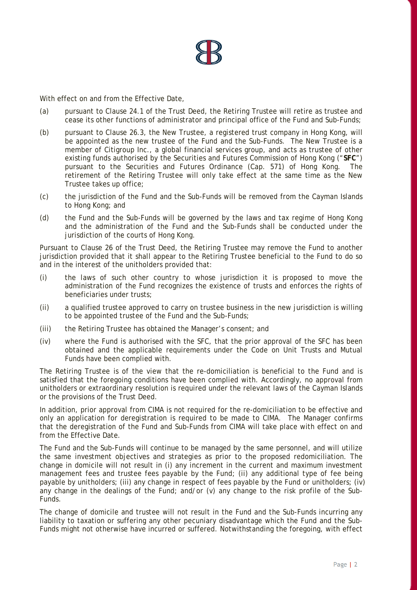

With effect on and from the Effective Date,

- (a) pursuant to Clause 24.1 of the Trust Deed, the Retiring Trustee will retire as trustee and cease its other functions of administrator and principal office of the Fund and Sub-Funds;
- (b) pursuant to Clause 26.3, the New Trustee, a registered trust company in Hong Kong, will be appointed as the new trustee of the Fund and the Sub-Funds. The New Trustee is a member of Citigroup Inc., a global financial services group, and acts as trustee of other existing funds authorised by the Securities and Futures Commission of Hong Kong ("**SFC**") pursuant to the Securities and Futures Ordinance (Cap. 571) of Hong Kong. The retirement of the Retiring Trustee will only take effect at the same time as the New Trustee takes up office;
- (c) the jurisdiction of the Fund and the Sub-Funds will be removed from the Cayman Islands to Hong Kong; and
- (d) the Fund and the Sub-Funds will be governed by the laws and tax regime of Hong Kong and the administration of the Fund and the Sub-Funds shall be conducted under the jurisdiction of the courts of Hong Kong.

Pursuant to Clause 26 of the Trust Deed, the Retiring Trustee may remove the Fund to another jurisdiction provided that it shall appear to the Retiring Trustee beneficial to the Fund to do so and in the interest of the unitholders provided that:

- (i) the laws of such other country to whose jurisdiction it is proposed to move the administration of the Fund recognizes the existence of trusts and enforces the rights of beneficiaries under trusts;
- (ii) a qualified trustee approved to carry on trustee business in the new jurisdiction is willing to be appointed trustee of the Fund and the Sub-Funds;
- (iii) the Retiring Trustee has obtained the Manager's consent; and
- (iv) where the Fund is authorised with the SFC, that the prior approval of the SFC has been obtained and the applicable requirements under the Code on Unit Trusts and Mutual Funds have been complied with.

The Retiring Trustee is of the view that the re-domiciliation is beneficial to the Fund and is satisfied that the foregoing conditions have been complied with. Accordingly, no approval from unitholders or extraordinary resolution is required under the relevant laws of the Cayman Islands or the provisions of the Trust Deed.

In addition, prior approval from CIMA is not required for the re-domiciliation to be effective and only an application for deregistration is required to be made to CIMA. The Manager confirms that the deregistration of the Fund and Sub-Funds from CIMA will take place with effect on and from the Effective Date.

The Fund and the Sub-Funds will continue to be managed by the same personnel, and will utilize the same investment objectives and strategies as prior to the proposed redomiciliation. The change in domicile will not result in (i) any increment in the current and maximum investment management fees and trustee fees payable by the Fund; (ii) any additional type of fee being payable by unitholders; (iii) any change in respect of fees payable by the Fund or unitholders; (iv) any change in the dealings of the Fund; and/or (v) any change to the risk profile of the Sub-Funds.

The change of domicile and trustee will not result in the Fund and the Sub-Funds incurring any liability to taxation or suffering any other pecuniary disadvantage which the Fund and the Sub-Funds might not otherwise have incurred or suffered. Notwithstanding the foregoing, with effect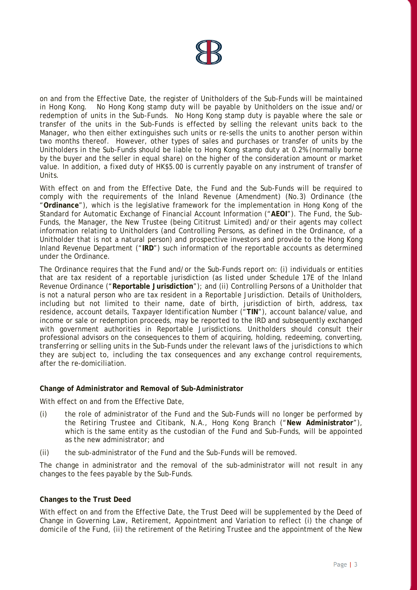

on and from the Effective Date, the register of Unitholders of the Sub-Funds will be maintained in Hong Kong. No Hong Kong stamp duty will be payable by Unitholders on the issue and/or redemption of units in the Sub-Funds. No Hong Kong stamp duty is payable where the sale or transfer of the units in the Sub-Funds is effected by selling the relevant units back to the Manager, who then either extinguishes such units or re-sells the units to another person within two months thereof. However, other types of sales and purchases or transfer of units by the Unitholders in the Sub-Funds should be liable to Hong Kong stamp duty at 0.2% (normally borne by the buyer and the seller in equal share) on the higher of the consideration amount or market value. In addition, a fixed duty of HK\$5.00 is currently payable on any instrument of transfer of Units.

With effect on and from the Effective Date, the Fund and the Sub-Funds will be required to comply with the requirements of the Inland Revenue (Amendment) (No.3) Ordinance (the "**Ordinance**"), which is the legislative framework for the implementation in Hong Kong of the Standard for Automatic Exchange of Financial Account Information ("**AEOI**"). The Fund, the Sub-Funds, the Manager, the New Trustee (being Cititrust Limited) and/or their agents may collect information relating to Unitholders (and Controlling Persons, as defined in the Ordinance, of a Unitholder that is not a natural person) and prospective investors and provide to the Hong Kong Inland Revenue Department ("**IRD**") such information of the reportable accounts as determined under the Ordinance.

The Ordinance requires that the Fund and/or the Sub-Funds report on: (i) individuals or entities that are tax resident of a reportable jurisdiction (as listed under Schedule 17E of the Inland Revenue Ordinance ("**Reportable Jurisdiction**"); and (ii) Controlling Persons of a Unitholder that is not a natural person who are tax resident in a Reportable Jurisdiction. Details of Unitholders, including but not limited to their name, date of birth, jurisdiction of birth, address, tax residence, account details, Taxpayer Identification Number ("**TIN**"), account balance/value, and income or sale or redemption proceeds, may be reported to the IRD and subsequently exchanged with government authorities in Reportable Jurisdictions. Unitholders should consult their professional advisors on the consequences to them of acquiring, holding, redeeming, converting, transferring or selling units in the Sub-Funds under the relevant laws of the jurisdictions to which they are subject to, including the tax consequences and any exchange control requirements, after the re-domiciliation.

## **Change of Administrator and Removal of Sub-Administrator**

With effect on and from the Effective Date,

- (i) the role of administrator of the Fund and the Sub-Funds will no longer be performed by the Retiring Trustee and Citibank, N.A., Hong Kong Branch ("**New Administrator**"), which is the same entity as the custodian of the Fund and Sub-Funds, will be appointed as the new administrator; and
- (ii) the sub-administrator of the Fund and the Sub-Funds will be removed.

The change in administrator and the removal of the sub-administrator will not result in any changes to the fees payable by the Sub-Funds.

#### **Changes to the Trust Deed**

With effect on and from the Effective Date, the Trust Deed will be supplemented by the Deed of Change in Governing Law, Retirement, Appointment and Variation to reflect (i) the change of domicile of the Fund, (ii) the retirement of the Retiring Trustee and the appointment of the New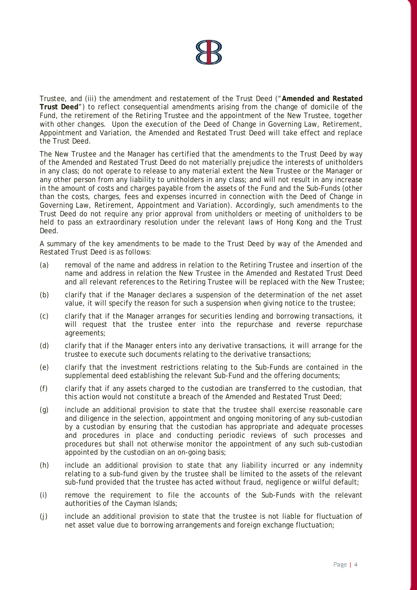

Trustee, and (iii) the amendment and restatement of the Trust Deed ("**Amended and Restated Trust Deed**") to reflect consequential amendments arising from the change of domicile of the Fund, the retirement of the Retiring Trustee and the appointment of the New Trustee, together with other changes. Upon the execution of the Deed of Change in Governing Law, Retirement, Appointment and Variation, the Amended and Restated Trust Deed will take effect and replace the Trust Deed.

The New Trustee and the Manager has certified that the amendments to the Trust Deed by way of the Amended and Restated Trust Deed do not materially prejudice the interests of unitholders in any class; do not operate to release to any material extent the New Trustee or the Manager or any other person from any liability to unitholders in any class; and will not result in any increase in the amount of costs and charges payable from the assets of the Fund and the Sub-Funds (other than the costs, charges, fees and expenses incurred in connection with the Deed of Change in Governing Law, Retirement, Appointment and Variation). Accordingly, such amendments to the Trust Deed do not require any prior approval from unitholders or meeting of unitholders to be held to pass an extraordinary resolution under the relevant laws of Hong Kong and the Trust Deed.

A summary of the key amendments to be made to the Trust Deed by way of the Amended and Restated Trust Deed is as follows:

- (a) removal of the name and address in relation to the Retiring Trustee and insertion of the name and address in relation the New Trustee in the Amended and Restated Trust Deed and all relevant references to the Retiring Trustee will be replaced with the New Trustee;
- (b) clarify that if the Manager declares a suspension of the determination of the net asset value, it will specify the reason for such a suspension when giving notice to the trustee;
- (c) clarify that if the Manager arranges for securities lending and borrowing transactions, it will request that the trustee enter into the repurchase and reverse repurchase agreements;
- (d) clarify that if the Manager enters into any derivative transactions, it will arrange for the trustee to execute such documents relating to the derivative transactions;
- (e) clarify that the investment restrictions relating to the Sub-Funds are contained in the supplemental deed establishing the relevant Sub-Fund and the offering documents;
- (f) clarify that if any assets charged to the custodian are transferred to the custodian, that this action would not constitute a breach of the Amended and Restated Trust Deed;
- (g) include an additional provision to state that the trustee shall exercise reasonable care and diligence in the selection, appointment and ongoing monitoring of any sub-custodian by a custodian by ensuring that the custodian has appropriate and adequate processes and procedures in place and conducting periodic reviews of such processes and procedures but shall not otherwise monitor the appointment of any such sub-custodian appointed by the custodian on an on-going basis;
- (h) include an additional provision to state that any liability incurred or any indemnity relating to a sub-fund given by the trustee shall be limited to the assets of the relevant sub-fund provided that the trustee has acted without fraud, negligence or wilful default;
- (i) remove the requirement to file the accounts of the Sub-Funds with the relevant authorities of the Cayman Islands;
- (j) include an additional provision to state that the trustee is not liable for fluctuation of net asset value due to borrowing arrangements and foreign exchange fluctuation;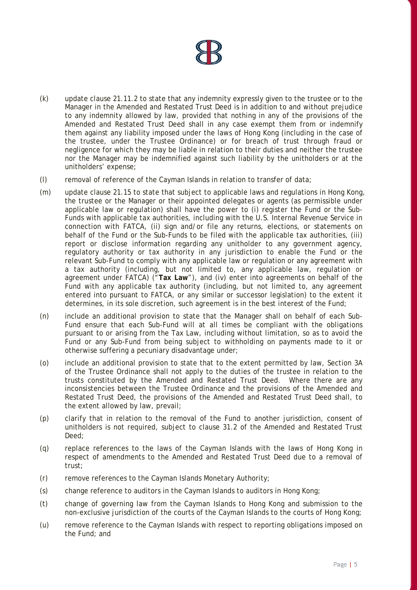- (k) update clause 21.11.2 to state that any indemnity expressly given to the trustee or to the Manager in the Amended and Restated Trust Deed is in addition to and without prejudice to any indemnity allowed by law, provided that nothing in any of the provisions of the Amended and Restated Trust Deed shall in any case exempt them from or indemnify them against any liability imposed under the laws of Hong Kong (including in the case of the trustee, under the Trustee Ordinance) or for breach of trust through fraud or negligence for which they may be liable in relation to their duties and neither the trustee nor the Manager may be indemnified against such liability by the unitholders or at the unitholders' expense;
- (l) removal of reference of the Cayman Islands in relation to transfer of data;
- (m) update clause 21.15 to state that subject to applicable laws and regulations in Hong Kong, the trustee or the Manager or their appointed delegates or agents (as permissible under applicable law or regulation) shall have the power to (i) register the Fund or the Sub-Funds with applicable tax authorities, including with the U.S. Internal Revenue Service in connection with FATCA, (ii) sign and/or file any returns, elections, or statements on behalf of the Fund or the Sub-Funds to be filed with the applicable tax authorities, (iii) report or disclose information regarding any unitholder to any government agency, regulatory authority or tax authority in any jurisdiction to enable the Fund or the relevant Sub-Fund to comply with any applicable law or regulation or any agreement with a tax authority (including, but not limited to, any applicable law, regulation or agreement under FATCA) ("**Tax Law**"), and (iv) enter into agreements on behalf of the Fund with any applicable tax authority (including, but not limited to, any agreement entered into pursuant to FATCA, or any similar or successor legislation) to the extent it determines, in its sole discretion, such agreement is in the best interest of the Fund;
- (n) include an additional provision to state that the Manager shall on behalf of each Sub-Fund ensure that each Sub-Fund will at all times be compliant with the obligations pursuant to or arising from the Tax Law, including without limitation, so as to avoid the Fund or any Sub-Fund from being subject to withholding on payments made to it or otherwise suffering a pecuniary disadvantage under;
- (o) include an additional provision to state that to the extent permitted by law, Section 3A of the Trustee Ordinance shall not apply to the duties of the trustee in relation to the trusts constituted by the Amended and Restated Trust Deed. Where there are any inconsistencies between the Trustee Ordinance and the provisions of the Amended and Restated Trust Deed, the provisions of the Amended and Restated Trust Deed shall, to the extent allowed by law, prevail;
- (p) clarify that in relation to the removal of the Fund to another jurisdiction, consent of unitholders is not required, subject to clause 31.2 of the Amended and Restated Trust Deed;
- (q) replace references to the laws of the Cayman Islands with the laws of Hong Kong in respect of amendments to the Amended and Restated Trust Deed due to a removal of trust;
- (r) remove references to the Cayman Islands Monetary Authority;
- (s) change reference to auditors in the Cayman Islands to auditors in Hong Kong;
- (t) change of governing law from the Cayman Islands to Hong Kong and submission to the non-exclusive jurisdiction of the courts of the Cayman Islands to the courts of Hong Kong;
- (u) remove reference to the Cayman Islands with respect to reporting obligations imposed on the Fund; and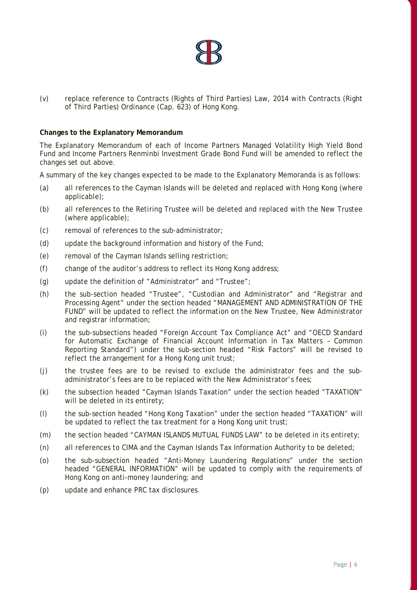

(v) replace reference to Contracts (Rights of Third Parties) Law, 2014 with Contracts (Right of Third Parties) Ordinance (Cap. 623) of Hong Kong.

#### **Changes to the Explanatory Memorandum**

The Explanatory Memorandum of each of Income Partners Managed Volatility High Yield Bond Fund and Income Partners Renminbi Investment Grade Bond Fund will be amended to reflect the changes set out above.

A summary of the key changes expected to be made to the Explanatory Memoranda is as follows:

- (a) all references to the Cayman Islands will be deleted and replaced with Hong Kong (where applicable);
- (b) all references to the Retiring Trustee will be deleted and replaced with the New Trustee (where applicable);
- (c) removal of references to the sub-administrator;
- (d) update the background information and history of the Fund;
- (e) removal of the Cayman Islands selling restriction;
- (f) change of the auditor's address to reflect its Hong Kong address;
- (g) update the definition of "Administrator" and "Trustee";
- (h) the sub-section headed "Trustee", "Custodian and Administrator" and "Registrar and Processing Agent" under the section headed "MANAGEMENT AND ADMINISTRATION OF THE FUND" will be updated to reflect the information on the New Trustee, New Administrator and registrar information;
- (i) the sub-subsections headed "Foreign Account Tax Compliance Act" and "OECD Standard for Automatic Exchange of Financial Account Information in Tax Matters – Common Reporting Standard") under the sub-section headed "Risk Factors" will be revised to reflect the arrangement for a Hong Kong unit trust;
- (j) the trustee fees are to be revised to exclude the administrator fees and the subadministrator's fees are to be replaced with the New Administrator's fees;
- (k) the subsection headed "Cayman Islands Taxation" under the section headed "TAXATION" will be deleted in its entirety;
- (l) the sub-section headed "Hong Kong Taxation" under the section headed "TAXATION" will be updated to reflect the tax treatment for a Hong Kong unit trust;
- (m) the section headed "CAYMAN ISLANDS MUTUAL FUNDS LAW" to be deleted in its entirety;
- (n) all references to CIMA and the Cayman Islands Tax Information Authority to be deleted;
- (o) the sub-subsection headed "Anti-Money Laundering Regulations" under the section headed "GENERAL INFORMATION" will be updated to comply with the requirements of Hong Kong on anti-money laundering; and
- (p) update and enhance PRC tax disclosures.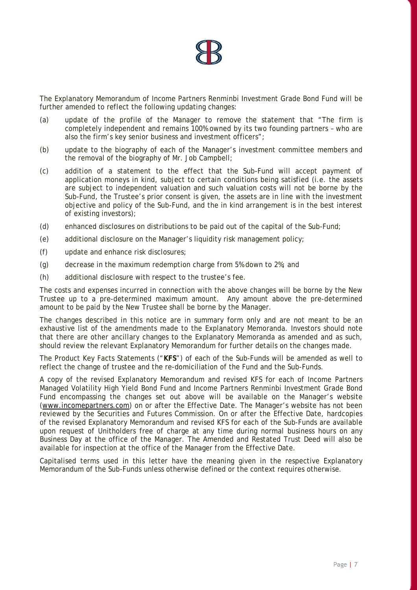

The Explanatory Memorandum of Income Partners Renminbi Investment Grade Bond Fund will be further amended to reflect the following updating changes:

- (a) update of the profile of the Manager to remove the statement that "The firm is completely independent and remains 100% owned by its two founding partners – who are also the firm's key senior business and investment officers";
- (b) update to the biography of each of the Manager's investment committee members and the removal of the biography of Mr. Job Campbell;
- (c) addition of a statement to the effect that the Sub-Fund will accept payment of application moneys in kind, subject to certain conditions being satisfied (i.e. the assets are subject to independent valuation and such valuation costs will not be borne by the Sub-Fund, the Trustee's prior consent is given, the assets are in line with the investment objective and policy of the Sub-Fund, and the in kind arrangement is in the best interest of existing investors);
- (d) enhanced disclosures on distributions to be paid out of the capital of the Sub-Fund;
- (e) additional disclosure on the Manager's liquidity risk management policy;
- (f) update and enhance risk disclosures;
- (g) decrease in the maximum redemption charge from 5% down to 2%; and
- (h) additional disclosure with respect to the trustee's fee.

The costs and expenses incurred in connection with the above changes will be borne by the New Trustee up to a pre-determined maximum amount. Any amount above the pre-determined amount to be paid by the New Trustee shall be borne by the Manager.

The changes described in this notice are in summary form only and are not meant to be an exhaustive list of the amendments made to the Explanatory Memoranda. Investors should note that there are other ancillary changes to the Explanatory Memoranda as amended and as such, should review the relevant Explanatory Memorandum for further details on the changes made.

The Product Key Facts Statements ("**KFS**") of each of the Sub-Funds will be amended as well to reflect the change of trustee and the re-domiciliation of the Fund and the Sub-Funds.

A copy of the revised Explanatory Memorandum and revised KFS for each of Income Partners Managed Volatility High Yield Bond Fund and Income Partners Renminbi Investment Grade Bond Fund encompassing the changes set out above will be available on the Manager's website (www.incomepartners.com) on or after the Effective Date. The Manager's website has not been reviewed by the Securities and Futures Commission. On or after the Effective Date, hardcopies of the revised Explanatory Memorandum and revised KFS for each of the Sub-Funds are available upon request of Unitholders free of charge at any time during normal business hours on any Business Day at the office of the Manager. The Amended and Restated Trust Deed will also be available for inspection at the office of the Manager from the Effective Date.

Capitalised terms used in this letter have the meaning given in the respective Explanatory Memorandum of the Sub-Funds unless otherwise defined or the context requires otherwise.